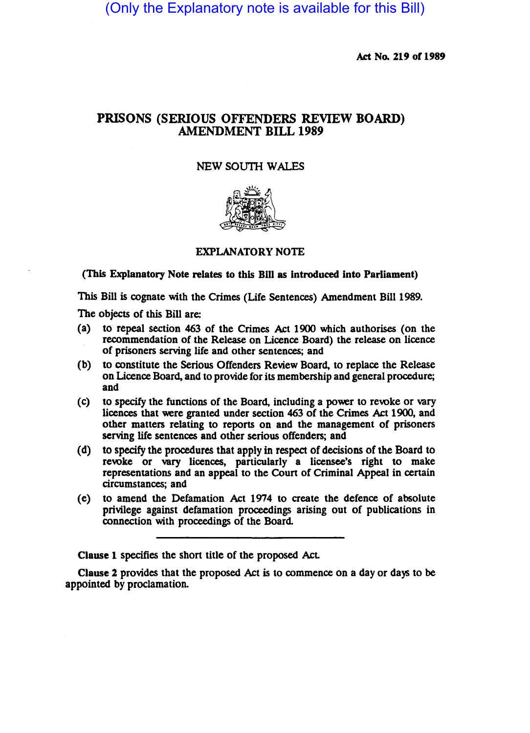(Only the Explanatory note is available for this Bill)

Act No. 219 of 1989

## PRISONS (SERIOUS OFFENDERS REVIEW BOARD) AMENDMENT BILL 1989

## NEW SOUTH WALES



EXPLANATORY NOTE

(This Explanatory Note relates to this Bill as introduced into Parliament)

This Bill is cognate with the Crimes (Life Sentences) Amendment Bill 1989.

The objects of this Bill are:

- (a) to repeal section 463 of the Crimes Act 1900 which authorises (on the recommendation of the Release on Licence Board) the release on licence of prisoners serving life and other sentences; and
- (b) to constitute the Serious Offenders Review Board, to replace the Release on Licence Board, and to provide for its membership and general procedure; and
- (c) to specify the functions of the Board, including a power to revoke or vary licences that were granted under section 463 of the Crimes Act 1900, and other matters relating to reports on and the management of prisoners serving life sentences and other serious offenders; and
- (d) to specify the procedures that apply in respect of decisions of the Board to revoke or vary licences, particularly a licensee's right to make representations and an appeal to the Court of Criminal Appeal in certain circumstances; and
- (e) to amend the Defamation Act 1974 to create the defence of absolute privilege against defamation proceedings arising out of publications in connection with proceedings of the Board.

Clause 1 specifies the short title of the proposed Act

Clause 2 provides that the proposed Act is to commence on a day or days to be appointed by proclamation.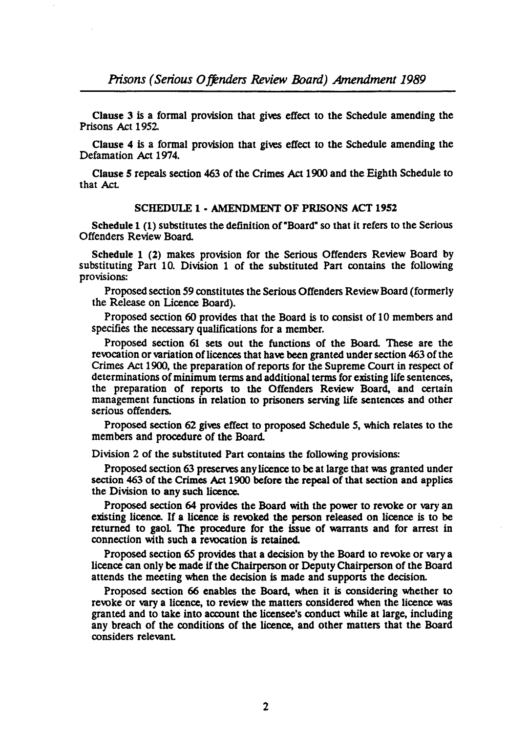Clause 3 is a formal provision that gives effect to the Schedule amending the Prisons Act 1952

Clause 4 is a formal provision that gives effect to the Schedule amending the Defamation Act 1974.

Clause 5 repeals section 463 of the Crimes Act 1900 and the Eighth Schedule to that Act

## SCHEDULE 1 • AMENDMENT OF PRISONS ACf 1952

Schedule 1 (1) substitutes the definition of "Board" so that it refers to the Serious Offenders Review Board.

Schedule 1 (2) makes provision for the Serious Offenders Review Board by substituting Part 10. Division 1 of the substituted Part contains the following provisions:

Proposed section 59 constitutes the Serious Offenders Review Board (formerly the Release on licence Board).

Proposed section 60 provides that the Board is to consist of 10 members and specifies the necessary qualifications for a member.

Proposed section 61 sets out the functions of the Board. These are the revocation or variation of licences that have been granted under section 463 of the Crimes Act 1900, the preparation of reports for the Supreme Court in respect of determinations of minimum terms and additional terms for existing life sentences, the preparation of reports to the Offenders Review Board, and certain management functions in relation to prisoners serving life sentences and other serious offenders.

Proposed section 62 gives effect to proposed Schedule 5, which relates to the members and procedure of the Board.

Division 2 of the substituted Part contains the following provisions:

Proposed section 63 preserves any licence to be at large that was granted under section 463 of the Crimes Act 1900 before the repeal of that section and applies the Division to any such licence.

Proposed section 64 provides the Board with the power to revoke or vary an existing licence. If a licence is revoked the person released on licence is to be returned to gaoL The procedure for the issue of warrants and for arrest in connection with such a revocation is retained.

Proposed section 65 provides that a decision by the Board to revoke or vary a licence can only be made if the Chairperson or Deputy Chairperson of the Board attends the meeting when the decision is made and supports the decision.

Proposed section 66 enables the Board, when it is considering whether to revoke or vary a licence, to review the matters considered when the licence was granted and to take into account the licensee's conduct while at large, including any breach of the conditions of the licence, and other matters that the Board considers relevant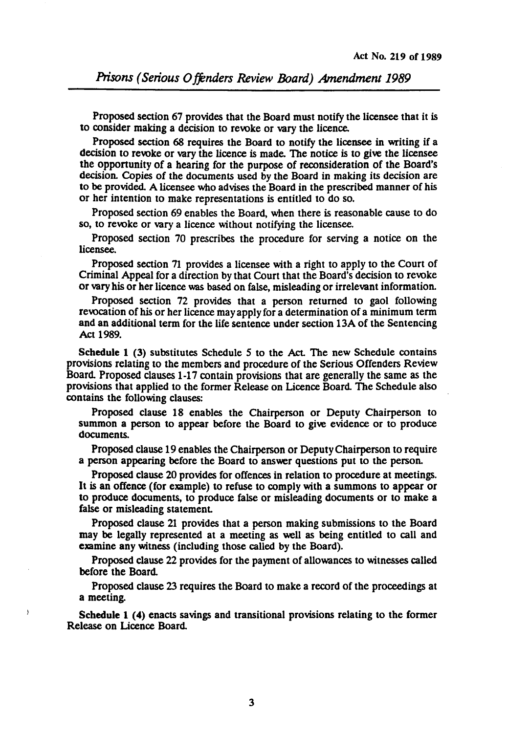Proposed section 67 provides that the Board must notify the licensee that it is to consider making a decision to revoke or vary the licence.

Proposed section 68 requires the Board to notify the licensee in writing if a decision to revoke or vary the licence is made. The notice is to give the licensee the opponunity of a hearing for the purpose of reconsideration of the Board's decision. Copies of the documents used by the Board in making its decision are to be provided. A licensee who advises the Board in the prescribed manner of his or her intention to make representations is entitled to do so.

Proposed section 69 enables the Board, when there is reasonable cause to do so, to revoke or vary a licence without notifying the licensee.

Proposed section 70 prescribes the procedure for serving a notice on the licensee.

Proposed section 71 provides a licensee with a right to apply to the Court of Criminal Appeal for a direction by that Court that the Board's decision to revoke or vary his or her licence was based on false, misleading or irrelevant information.

Proposed section 72 provides that a person returned to gaol following revocation of his or her licence may apply for a determination of a minimum term and an additional term for the life sentence under section *13A* of the Sentencing Act 1989.

Schedule 1 (3) substitutes Schedule 5 to the Act. The new Schedule contains provisions relating to the members and procedure of the Serious Offenders Review Board. Proposed clauses 1·17 contain provisions that are generally the same as the prOvisions that applied to the former Release on Licence Board. The Schedule also contains the following clauses:

Proposed clause 18 enables the Chairperson or Deputy Chairperson to summon a person to appear before the Board to give evidence or to produce documents.

Proposed clause 19 enables the Chairperson or Deputy Chairperson to require a person appearing before the Board to answer questions put to the person.

Proposed clause 20 provides for offences in relation to procedure at meetings. It is an offence (for example) to refuse to comply with a summons to appear or to produce documents, to produce false or misleading documents or to make a false or misleading statement.

Proposed clause 21 provides that a person making submissions to the Board may be legally represented at a meeting as well as being entitled to call and examine any witness (including those called by the Board).

Proposed clause 22 provides for the payment of allowances to witnesses called before the Board.

Proposed clause 23 requires the Board to make a record of the proceedings at a meeting.

Schedule 1 (4) enacts savings and transitional provisions relating to the former Release on Licence Board.

 $\rightarrow$